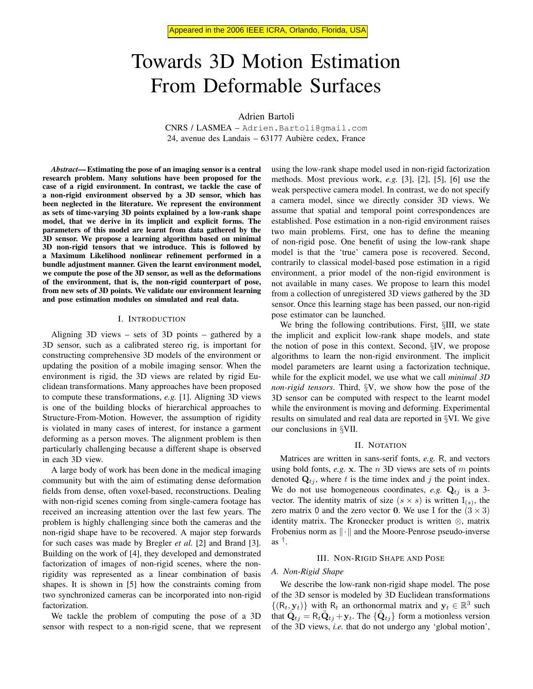# Towards 3D Motion Estimation From Deformable Surfaces

Adrien Bartoli

CNRS / LASMEA – Adrien.Bartoli@gmail.com 24, avenue des Landais – 63177 Aubiere cedex, France `

*Abstract*— Estimating the pose of an imaging sensor is a central research problem. Many solutions have been proposed for the case of a rigid environment. In contrast, we tackle the case of a non-rigid environment observed by a 3D sensor, which has been neglected in the literature. We represent the environment as sets of time-varying 3D points explained by a low-rank shape model, that we derive in its implicit and explicit forms. The parameters of this model are learnt from data gathered by the 3D sensor. We propose a learning algorithm based on minimal 3D non-rigid tensors that we introduce. This is followed by a Maximum Likelihood nonlinear refinement performed in a bundle adjustment manner. Given the learnt environment model, we compute the pose of the 3D sensor, as well as the deformations of the environment, that is, the non-rigid counterpart of pose, from new sets of 3D points. We validate our environment learning and pose estimation modules on simulated and real data.

#### I. INTRODUCTION

Aligning 3D views – sets of 3D points – gathered by a 3D sensor, such as a calibrated stereo rig, is important for constructing comprehensive 3D models of the environment or updating the position of a mobile imaging sensor. When the environment is rigid, the 3D views are related by rigid Euclidean transformations. Many approaches have been proposed to compute these transformations, *e.g.* [1]. Aligning 3D views is one of the building blocks of hierarchical approaches to Structure-From-Motion. However, the assumption of rigidity is violated in many cases of interest, for instance a garment deforming as a person moves. The alignment problem is then particularly challenging because a different shape is observed in each 3D view.

A large body of work has been done in the medical imaging community but with the aim of estimating dense deformation fields from dense, often voxel-based, reconstructions. Dealing with non-rigid scenes coming from single-camera footage has received an increasing attention over the last few years. The problem is highly challenging since both the cameras and the non-rigid shape have to be recovered. A major step forwards for such cases was made by Bregler *et al.* [2] and Brand [3]. Building on the work of [4], they developed and demonstrated factorization of images of non-rigid scenes, where the nonrigidity was represented as a linear combination of basis shapes. It is shown in [5] how the constraints coming from two synchronized cameras can be incorporated into non-rigid factorization.

We tackle the problem of computing the pose of a 3D sensor with respect to a non-rigid scene, that we represent using the low-rank shape model used in non-rigid factorization methods. Most previous work, *e.g.* [3], [2], [5], [6] use the weak perspective camera model. In contrast, we do not specify a camera model, since we directly consider 3D views. We assume that spatial and temporal point correspondences are established. Pose estimation in a non-rigid environment raises two main problems. First, one has to define the meaning of non-rigid pose. One benefit of using the low-rank shape model is that the 'true' camera pose is recovered. Second, contrarily to classical model-based pose estimation in a rigid environment, a prior model of the non-rigid environment is not available in many cases. We propose to learn this model from a collection of unregistered 3D views gathered by the 3D sensor. Once this learning stage has been passed, our non-rigid pose estimator can be launched.

We bring the following contributions. First, §III, we state the implicit and explicit low-rank shape models, and state the notion of pose in this context. Second, §IV, we propose algorithms to learn the non-rigid environment. The implicit model parameters are learnt using a factorization technique, while for the explicit model, we use what we call *minimal 3D non-rigid tensors*. Third, §V, we show how the pose of the 3D sensor can be computed with respect to the learnt model while the environment is moving and deforming. Experimental results on simulated and real data are reported in §VI. We give our conclusions in §VII.

## II. NOTATION

Matrices are written in sans-serif fonts, *e.g.* R, and vectors using bold fonts, *e.g.* x. The n 3D views are sets of m points denoted  $Q_{tj}$ , where t is the time index and j the point index. We do not use homogeneous coordinates, *e.g.*  $Q_{tj}$  is a 3vector. The identity matrix of size  $(s \times s)$  is written  $I_{(s)}$ , the zero matrix 0 and the zero vector 0. We use I for the  $(3 \times 3)$ identity matrix. The Kronecker product is written ⊗, matrix Frobenius norm as  $\|\cdot\|$  and the Moore-Penrose pseudo-inverse as † .

### III. NON-RIGID SHAPE AND POSE

#### *A. Non-Rigid Shape*

We describe the low-rank non-rigid shape model. The pose of the 3D sensor is modeled by 3D Euclidean transformations  $\{(\mathsf{R}_t, \mathbf{y}_t)\}\$  with  $\mathsf{R}_t$  an orthonormal matrix and  $\mathbf{y}_t \in \mathbb{R}^3$  such that  $\hat{\mathbf{Q}}_{tj} = \mathsf{R}_t \tilde{\mathbf{Q}}_{tj} + \mathbf{y}_t$ . The  $\{\tilde{\mathbf{Q}}_{tj}\}\$  form a motionless version of the 3D views, *i.e.* that do not undergo any 'global motion',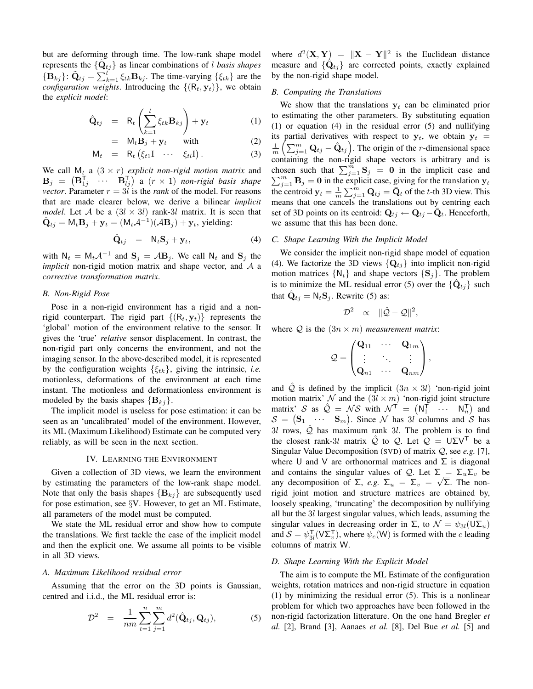but are deforming through time. The low-rank shape model represents the  $\{\tilde{\mathbf{Q}}_{tj}\}$  as linear combinations of *l basis shapes*  $\{B_{kj}\}\colon \tilde{Q}_{tj} = \sum_{k=1}^{l} \xi_{tk}B_{kj}$ . The time-varying  $\{\xi_{tk}\}\$  are the *configuration weights*. Introducing the  $\{(\mathsf{R}_t, \mathbf{y}_t)\}\)$ , we obtain the *explicit model*:

$$
\hat{\mathbf{Q}}_{tj} = \mathbf{R}_t \left( \sum_{k=1}^l \xi_{tk} \mathbf{B}_{kj} \right) + \mathbf{y}_t \tag{1}
$$

$$
= M_t \mathbf{B}_j + \mathbf{y}_t \quad \text{with} \tag{2}
$$

$$
\mathsf{M}_t = \mathsf{R}_t \left( \xi_{t1} \mathsf{I} \cdots \xi_{tl} \mathsf{I} \right). \tag{3}
$$

We call  $M_t$  a  $(3 \times r)$  *explicit non-rigid motion matrix* and  $\mathbf{B}_j$  =  $\begin{pmatrix} \mathbf{B}_{1j}^{\mathsf{T}} & \cdots & \mathbf{B}_{lj}^{\mathsf{T}} \end{pmatrix}$  a  $(r \times 1)$  non-rigid basis shape *vector*. Parameter  $r = 3l$  is the *rank* of the model. For reasons that are made clearer below, we derive a bilinear *implicit model*. Let A be a  $(3l \times 3l)$  rank-3l matrix. It is seen that  $\hat{\mathbf{Q}}_{tj} = \mathsf{M}_t \mathbf{B}_j + \mathbf{y}_t = (\mathsf{M}_t \mathcal{A}^{-1})(\mathcal{A} \mathbf{B}_j) + \mathbf{y}_t$ , yielding:

$$
\hat{\mathbf{Q}}_{tj} = \mathbf{N}_t \mathbf{S}_j + \mathbf{y}_t, \tag{4}
$$

with  $N_t = M_t A^{-1}$  and  $S_j = AB_j$ . We call  $N_t$  and  $S_j$  the *implicit* non-rigid motion matrix and shape vector, and A a *corrective transformation matrix*.

#### *B. Non-Rigid Pose*

Pose in a non-rigid environment has a rigid and a nonrigid counterpart. The rigid part  $\{(R_t, y_t)\}\$  represents the 'global' motion of the environment relative to the sensor. It gives the 'true' *relative* sensor displacement. In contrast, the non-rigid part only concerns the environment, and not the imaging sensor. In the above-described model, it is represented by the configuration weights  $\{\xi_{tk}\}\$ , giving the intrinsic, *i.e.* motionless, deformations of the environment at each time instant. The motionless and deformationless environment is modeled by the basis shapes  ${B_{ki}}$ .

The implicit model is useless for pose estimation: it can be seen as an 'uncalibrated' model of the environment. However, its ML (Maximum Likelihood) Estimate can be computed very reliably, as will be seen in the next section.

# IV. LEARNING THE ENVIRONMENT

Given a collection of 3D views, we learn the environment by estimating the parameters of the low-rank shape model. Note that only the basis shapes  ${B_{ki}}$  are subsequently used for pose estimation, see §V. However, to get an ML Estimate, all parameters of the model must be computed.

We state the ML residual error and show how to compute the translations. We first tackle the case of the implicit model and then the explicit one. We assume all points to be visible in all 3D views.

## *A. Maximum Likelihood residual error*

Assuming that the error on the 3D points is Gaussian, centred and i.i.d., the ML residual error is:

$$
\mathcal{D}^2 = \frac{1}{nm} \sum_{t=1}^n \sum_{j=1}^m d^2(\hat{\mathbf{Q}}_{tj}, \mathbf{Q}_{tj}), \tag{5}
$$

where  $d^2(\mathbf{X}, \mathbf{Y}) = ||\mathbf{X} - \mathbf{Y}||^2$  is the Euclidean distance measure and  $\{\hat{Q}_{tj}\}\$  are corrected points, exactly explained by the non-rigid shape model.

# *B. Computing the Translations*

We show that the translations  $y_t$  can be eliminated prior to estimating the other parameters. By substituting equation (1) or equation (4) in the residual error (5) and nullifying its partial derivatives with respect to  $y_t$ , we obtain  $y_t$  =  $\frac{1}{m} \left( \sum_{j=1}^m \mathbf{Q}_{tj} - \hat{\mathbf{Q}}_{tj} \right)$ . The origin of the *r*-dimensional space containing the non-rigid shape vectors is arbitrary and is chosen such that  $\sum_{j=1}^{m}$   $S_j$  = 0 in the implicit case and  $\sum_{j=1}^{m}$  **B**<sub>j</sub> = **0** in the explicit case, giving for the translation  $y_t$ the centroid  $y_t = \frac{1}{m} \sum_{j=1}^{m} \mathbf{Q}_{tj} = \bar{\mathbf{Q}}_t$  of the t-th 3D view. This means that one cancels the translations out by centring each set of 3D points on its centroid:  $\mathbf{Q}_{tj} \leftarrow \mathbf{Q}_{tj} - \overline{\mathbf{Q}}_t$ . Henceforth, we assume that this has been done.

# *C. Shape Learning With the Implicit Model*

We consider the implicit non-rigid shape model of equation (4). We factorize the 3D views  $\{Q_{tj}\}\$ into implicit non-rigid motion matrices  $\{N_t\}$  and shape vectors  $\{S_i\}$ . The problem is to minimize the ML residual error (5) over the  $\{\hat{\mathbf{Q}}_{tj}\}$  such that  $\hat{\mathbf{Q}}_{tj} = \mathsf{N}_t \mathbf{S}_j$ . Rewrite (5) as:

$$
\mathcal{D}^2 \quad \propto \quad \|\hat{\mathcal{Q}} - \mathcal{Q}\|^2,
$$

where  $Q$  is the  $(3n \times m)$  *measurement matrix*:

$$
Q = \begin{pmatrix} \mathbf{Q}_{11} & \cdots & \mathbf{Q}_{1m} \\ \vdots & \ddots & \vdots \\ \mathbf{Q}_{n1} & \cdots & \mathbf{Q}_{nm} \end{pmatrix},
$$

and  $\hat{Q}$  is defined by the implicit  $(3n \times 3l)$  'non-rigid joint motion matrix' N and the  $(3l \times m)$  'non-rigid joint structure matrix' S as  $\hat{Q} = \mathcal{N}S$  with  $\mathcal{N}^{\top} = (\mathsf{N}_1^{\top} \cdots \mathsf{N}_n^{\top})$  and  $S = \begin{pmatrix} S_1 & \cdots & S_m \end{pmatrix}$ . Since N has 3l columns and S has 3l rows,  $\hat{Q}$  has maximum rank 3l. The problem is to find the closest rank-3l matrix  $\hat{Q}$  to  $Q$ . Let  $Q = U\Sigma V^{T}$  be a Singular Value Decomposition (SVD) of matrix Q, see *e.g.* [7], where U and V are orthonormal matrices and  $\Sigma$  is diagonal and contains the singular values of  $\mathcal{Q}$ . Let  $\Sigma = \Sigma_u \Sigma_v$  be any decomposition of  $\Sigma$ , *e.g.*  $\Sigma_u = \Sigma_v = \sqrt{\Sigma}$ . The nonrigid joint motion and structure matrices are obtained by, loosely speaking, 'truncating' the decomposition by nullifying all but the 3l largest singular values, which leads, assuming the singular values in decreasing order in  $\Sigma$ , to  $\mathcal{N} = \psi_{3l}(\mathsf{U}\Sigma_u)$ and  $S = \psi_{3l}^T(\mathsf{V}\Sigma_v^T)$ , where  $\psi_c(\mathsf{W})$  is formed with the c leading columns of matrix W.

#### *D. Shape Learning With the Explicit Model*

The aim is to compute the ML Estimate of the configuration weights, rotation matrices and non-rigid structure in equation (1) by minimizing the residual error (5). This is a nonlinear problem for which two approaches have been followed in the non-rigid factorization litterature. On the one hand Bregler *et al.* [2], Brand [3], Aanaes *et al.* [8], Del Bue *et al.* [5] and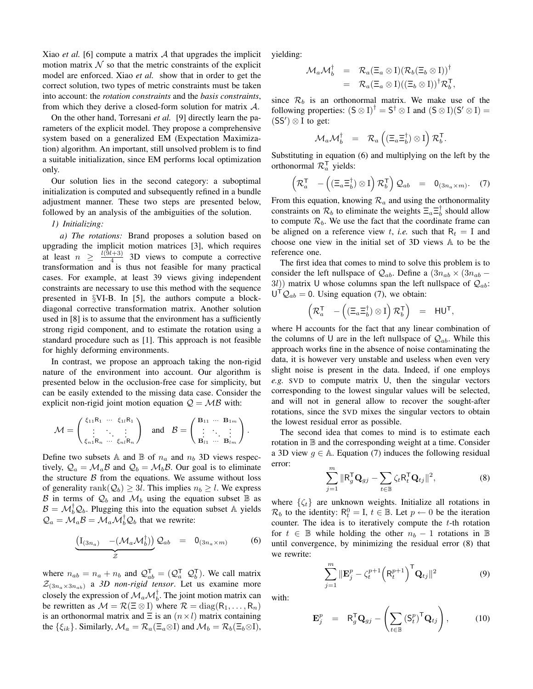Xiao *et al.* [6] compute a matrix A that upgrades the implicit motion matrix  $N$  so that the metric constraints of the explicit model are enforced. Xiao *et al.* show that in order to get the correct solution, two types of metric constraints must be taken into account: the *rotation constraints* and the *basis constraints*, from which they derive a closed-form solution for matrix  $\mathcal{A}$ .

On the other hand, Torresani *et al.* [9] directly learn the parameters of the explicit model. They propose a comprehensive system based on a generalized EM (Expectation Maximization) algorithm. An important, still unsolved problem is to find a suitable initialization, since EM performs local optimization only.

Our solution lies in the second category: a suboptimal initialization is computed and subsequently refined in a bundle adjustment manner. These two steps are presented below, followed by an analysis of the ambiguities of the solution.

### *1) Initializing:*

*a) The rotations:* Brand proposes a solution based on upgrading the implicit motion matrices [3], which requires at least  $n \geq \frac{l(9l+3)}{4}$  $\frac{a+3}{4}$  3D views to compute a corrective transformation and is thus not feasible for many practical cases. For example, at least 39 views giving independent constraints are necessary to use this method with the sequence presented in §VI-B. In [5], the authors compute a blockdiagonal corrective transformation matrix. Another solution used in [8] is to assume that the environment has a sufficiently strong rigid component, and to estimate the rotation using a standard procedure such as [1]. This approach is not feasible for highly deforming environments.

In contrast, we propose an approach taking the non-rigid nature of the environment into account. Our algorithm is presented below in the occlusion-free case for simplicity, but can be easily extended to the missing data case. Consider the explicit non-rigid joint motion equation  $Q = MB$  with:

$$
\mathcal{M} = \begin{pmatrix} \xi_{11}R_1 & \cdots & \xi_{1l}R_1 \\ \vdots & \ddots & \vdots \\ \xi_{n1}R_n & \cdots & \xi_{nl}R_n \end{pmatrix} \text{ and } \mathcal{B} = \begin{pmatrix} \mathbf{B}_{11} & \cdots & \mathbf{B}_{1m} \\ \vdots & \ddots & \vdots \\ \mathbf{B}_{l1} & \cdots & \mathbf{B}_{lm} \end{pmatrix}
$$

Define two subsets A and  $\mathbb B$  of  $n_a$  and  $n_b$  3D views respectively,  $Q_a = \mathcal{M}_a \mathcal{B}$  and  $Q_b = \mathcal{M}_b \mathcal{B}$ . Our goal is to eliminate the structure  $\beta$  from the equations. We assume without loss of generality rank $(Q_b) \geq 3l$ . This implies  $n_b \geq l$ . We express B in terms of  $\mathcal{Q}_b$  and  $\mathcal{M}_b$  using the equation subset  $\mathbb B$  as  $\mathcal{B} = \mathcal{M}_b^{\dagger} \mathcal{Q}_b$ . Plugging this into the equation subset A yields  $\mathcal{Q}_a = \mathcal{M}_a \mathcal{B} = \mathcal{M}_a \mathcal{M}_b^{\dagger} \mathcal{Q}_b$  that we rewrite:

$$
\underbrace{\left(\mathrm{I}_{(3n_a)} - (\mathcal{M}_a \mathcal{M}_b^{\dagger})\right)}_{\mathcal{Z}} \mathcal{Q}_{ab} = 0_{(3n_a \times m)}
$$
(6)

where  $n_{ab} = n_a + n_b$  and  $\mathcal{Q}_{ab}^{\mathsf{T}} = (\mathcal{Q}_a^{\mathsf{T}} \ \mathcal{Q}_b^{\mathsf{T}})$ . We call matrix  $\mathcal{Z}_{(3n_{\alpha}\times3n_{\alpha b})}$  a *3D non-rigid tensor*. Let us examine more closely the expression of  $\mathcal{M}_a \mathcal{M}_b^{\dagger}$ . The joint motion matrix can be rewritten as  $M = \mathcal{R}(\Xi \otimes I)$  where  $\mathcal{R} = \text{diag}(R_1, \ldots, R_n)$ is an orthonormal matrix and  $\Xi$  is an  $(n \times l)$  matrix containing the  $\{\xi_{ik}\}\$ . Similarly,  $\mathcal{M}_a = \mathcal{R}_a(\Xi_a \otimes I)$  and  $\mathcal{M}_b = \mathcal{R}_b(\Xi_b \otimes I)$ , yielding:

$$
\begin{array}{rcl} \mathcal{M}_a \mathcal{M}_b^\dagger & = & \mathcal{R}_a (\Xi_a \otimes \mathrm{I}) ({\mathcal{R}}_b (\Xi_b \otimes \mathrm{I}) )^\dagger \\ & = & \mathcal{R}_a (\Xi_a \otimes \mathrm{I}) ((\Xi_b \otimes \mathrm{I}) )^\dagger \mathcal{R}_b^\mathrm{T} \end{array}
$$

,

since  $\mathcal{R}_b$  is an orthonormal matrix. We make use of the following properties:  $(S \otimes I)^{\dagger} = S^{\dagger} \otimes I$  and  $(S \otimes I)(S' \otimes I) =$  $(SS') \otimes I$  to get:

$$
\mathcal{M}_a \mathcal{M}_b^{\dagger} = \mathcal{R}_a \left( (\Xi_a \Xi_b^{\dagger}) \otimes I \right) \mathcal{R}_b^{\mathsf{T}}.
$$

Substituting in equation (6) and multiplying on the left by the orthonormal  $\mathcal{R}_a^T$  yields:

$$
\left(\mathcal{R}_a^{\mathsf{T}} - \left((\Xi_a \Xi_b^{\dagger}) \otimes I\right) \mathcal{R}_b^{\mathsf{T}}\right) \mathcal{Q}_{ab} = 0_{(3n_a \times m)}.
$$
 (7)

From this equation, knowing  $\mathcal{R}_a$  and using the orthonormality constraints on  $\mathcal{R}_b$  to eliminate the weights  $\bar{\Xi}_a \bar{\Xi}_b^{\dagger}$  should allow to compute  $\mathcal{R}_b$ . We use the fact that the coordinate frame can be aligned on a reference view t, *i.e.* such that  $R_t = I$  and choose one view in the initial set of 3D views A to be the reference one.

The first idea that comes to mind to solve this problem is to consider the left nullspace of  $\mathcal{Q}_{ab}$ . Define a  $(3n_{ab} \times (3n_{ab} -$ 3l)) matrix U whose columns span the left nullspace of  $\mathcal{Q}_{ab}$ :  $U^{\mathsf{T}} \mathcal{Q}_{ab} = 0$ . Using equation (7), we obtain:

$$
\left(\mathcal{R}_a^{\mathsf{T}} - \left((\Xi_a \Xi_b^{\dagger}) \otimes I\right) \mathcal{R}_b^{\mathsf{T}}\right) = H U^{\mathsf{T}},
$$

where H accounts for the fact that any linear combination of the columns of U are in the left nullspace of  $\mathcal{Q}_{ab}$ . While this approach works fine in the absence of noise contaminating the data, it is however very unstable and useless when even very slight noise is present in the data. Indeed, if one employs *e.g.* SVD to compute matrix U, then the singular vectors corresponding to the lowest singular values will be selected, and will not in general allow to recover the sought-after rotations, since the SVD mixes the singular vectors to obtain the lowest residual error as possible.

The second idea that comes to mind is to estimate each rotation in B and the corresponding weight at a time. Consider a 3D view  $g \in A$ . Equation (7) induces the following residual error:

$$
\sum_{j=1}^{m} \|\mathbf{R}_{g}^{\mathsf{T}}\mathbf{Q}_{gj} - \sum_{t \in \mathbb{B}} \zeta_{t} \mathbf{R}_{t}^{\mathsf{T}}\mathbf{Q}_{tj}\|^{2}, \tag{8}
$$

where  $\{\zeta_t\}$  are unknown weights. Initialize all rotations in  $\mathcal{R}_b$  to the identity:  $\mathsf{R}_t^0 = \mathsf{I}, t \in \mathbb{B}$ . Let  $p \leftarrow 0$  be the iteration counter. The idea is to iteratively compute the  $t$ -th rotation for  $t \in \mathbb{B}$  while holding the other  $n_b - 1$  rotations in  $\mathbb{B}$ until convergence, by minimizing the residual error (8) that we rewrite:

$$
\sum_{j=1}^{m} \|\mathbf{E}_{j}^{p} - \zeta_{t}^{p+1} \left(\mathbf{R}_{t}^{p+1}\right)^{\mathsf{T}} \mathbf{Q}_{tj} \|^{2}
$$
(9)

with:

.

$$
\mathbf{E}_{j}^{p} = \mathbf{R}_{g}^{\mathsf{T}} \mathbf{Q}_{gj} - \left( \sum_{t \in \mathbb{B}} \left( \mathbf{S}_{t}^{p} \right)^{\mathsf{T}} \mathbf{Q}_{tj} \right), \quad (10)
$$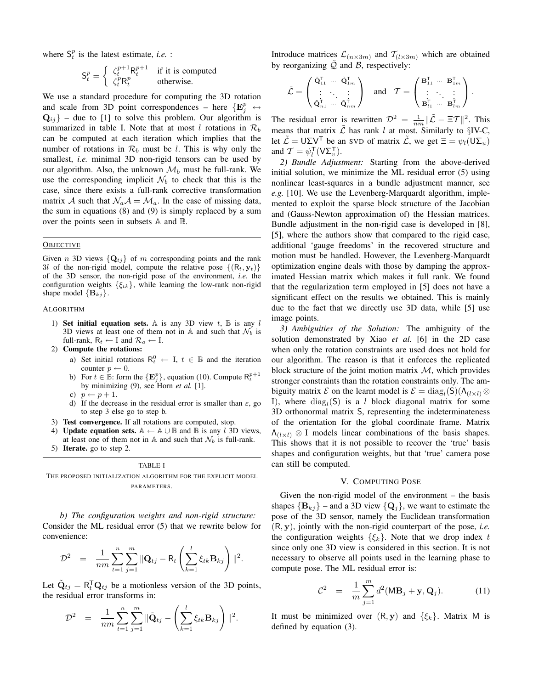where  $S_t^p$  is the latest estimate, *i.e.* :

$$
\mathsf{S}_t^p = \left\{ \begin{array}{ll} \zeta_t^{p+1} \mathsf{R}_t^{p+1} & \text{if it is computed} \\ \zeta_t^p \mathsf{R}_t^p & \text{otherwise.} \end{array} \right.
$$

We use a standard procedure for computing the 3D rotation and scale from 3D point correspondences – here  $\{E_j^p \leftrightarrow$  $Q_{ij}$ } – due to [1] to solve this problem. Our algorithm is summarized in table I. Note that at most l rotations in  $\mathcal{R}_b$ can be computed at each iteration which implies that the number of rotations in  $\mathcal{R}_b$  must be l. This is why only the smallest, *i.e.* minimal 3D non-rigid tensors can be used by our algorithm. Also, the unknown  $\mathcal{M}_b$  must be full-rank. We use the corresponding implicit  $\mathcal{N}_b$  to check that this is the case, since there exists a full-rank corrective transformation matrix A such that  $\mathcal{N}_a \mathcal{A} = \mathcal{M}_a$ . In the case of missing data, the sum in equations (8) and (9) is simply replaced by a sum over the points seen in subsets A and B.

## **OBJECTIVE**

Given n 3D views  $\{Q_{tj}\}\$  of m corresponding points and the rank 3l of the non-rigid model, compute the relative pose  $\{(R_t, y_t)\}$ of the 3D sensor, the non-rigid pose of the environment, *i.e.* the configuration weights  $\{\xi_{tk}\}\$ , while learning the low-rank non-rigid shape model  ${B_{kj}}$ .

## **ALGORITHM**

- 1) Set initial equation sets. A is any 3D view  $t$ ,  $\mathbb B$  is any l 3D views at least one of them not in A and such that  $\mathcal{N}_b$  is full-rank,  $R_t \leftarrow I$  and  $R_a \leftarrow I$ .
- 2) Compute the rotations:
	- a) Set initial rotations  $R_t^0 \leftarrow I, t \in \mathbb{B}$  and the iteration counter  $p \leftarrow 0$ .
	- b) For  $t \in \mathbb{B}$ : form the  $\{\mathbf{E}_j^p\}$ , equation (10). Compute  $\mathsf{R}_t^{p+1}$ by minimizing (9), see Horn *et al.* [1].
	- c)  $p \leftarrow p + 1$ .
	- d) If the decrease in the residual error is smaller than  $\varepsilon$ , go to step 3 else go to step b.
- 3) Test convergence. If all rotations are computed, stop.
- **Update equation sets.** A ← A ∪ B and B is any l 3D views, at least one of them not in A and such that  $\mathcal{N}_b$  is full-rank.
- 5) Iterate. go to step 2.

#### TABLE I

THE PROPOSED INITIALIZATION ALGORITHM FOR THE EXPLICIT MODEL PARAMETERS.

*b) The configuration weights and non-rigid structure:* Consider the ML residual error (5) that we rewrite below for convenience:

$$
\mathcal{D}^2 = \frac{1}{nm} \sum_{t=1}^n \sum_{j=1}^m ||\mathbf{Q}_{tj} - \mathbf{R}_t \left( \sum_{k=1}^l \xi_{tk} \mathbf{B}_{kj} \right)||^2.
$$

Let  $\tilde{Q}_{tj} = R_t^{\mathsf{T}} Q_{tj}$  be a motionless version of the 3D points, the residual error transforms in:

$$
\mathcal{D}^2 = \frac{1}{nm} \sum_{t=1}^n \sum_{j=1}^m ||\tilde{\mathbf{Q}}_{tj} - \left(\sum_{k=1}^l \xi_{tk} \mathbf{B}_{kj}\right)||^2.
$$

Introduce matrices  $\mathcal{L}_{(n\times3m)}$  and  $\mathcal{T}_{(l\times3m)}$  which are obtained by reorganizing  $Q$  and  $B$ , respectively:

$$
\tilde{\mathcal{L}} = \begin{pmatrix} \tilde{\mathbf{Q}}_{11}^{\mathsf{T}} & \cdots & \tilde{\mathbf{Q}}_{1m}^{\mathsf{T}} \\ \vdots & \ddots & \vdots \\ \tilde{\mathbf{Q}}_{n1}^{\mathsf{T}} & \cdots & \tilde{\mathbf{Q}}_{nm}^{\mathsf{T}} \end{pmatrix} \quad \text{and} \quad \mathcal{T} = \begin{pmatrix} \mathbf{B}_{11}^{\mathsf{T}} & \cdots & \mathbf{B}_{1m}^{\mathsf{T}} \\ \vdots & \ddots & \vdots \\ \mathbf{B}_{l1}^{\mathsf{T}} & \cdots & \mathbf{B}_{lm}^{\mathsf{T}} \end{pmatrix}.
$$

The residual error is rewritten  $\mathcal{D}^2 = \frac{1}{nm} ||\tilde{\mathcal{L}} - \Xi \mathcal{T}||^2$ . This means that matrix  $\tilde{\mathcal{L}}$  has rank l at most. Similarly to §IV-C, let  $\mathcal{L} = U \Sigma V^{T}$  be an SVD of matrix  $\mathcal{L}$ , we get  $\Xi = \psi_{l}(U \Sigma_{u})$ and  $\mathcal{T} = \psi_l^{\mathsf{T}}(\mathsf{V}\Sigma_v^{\mathsf{T}})$ .

*2) Bundle Adjustment:* Starting from the above-derived initial solution, we minimize the ML residual error (5) using nonlinear least-squares in a bundle adjustment manner, see *e.g.* [10]. We use the Levenberg-Marquardt algorithm, implemented to exploit the sparse block structure of the Jacobian and (Gauss-Newton approximation of) the Hessian matrices. Bundle adjustment in the non-rigid case is developed in [8], [5], where the authors show that compared to the rigid case, additional 'gauge freedoms' in the recovered structure and motion must be handled. However, the Levenberg-Marquardt optimization engine deals with those by damping the approximated Hessian matrix which makes it full rank. We found that the regularization term employed in [5] does not have a significant effect on the results we obtained. This is mainly due to the fact that we directly use 3D data, while [5] use image points.

*3) Ambiguities of the Solution:* The ambiguity of the solution demonstrated by Xiao *et al.* [6] in the 2D case when only the rotation constraints are used does not hold for our algorithm. The reason is that it enforces the replicated block structure of the joint motion matrix  $M$ , which provides stronger constraints than the rotation constraints only. The ambiguity matrix  $\mathcal E$  on the learnt model is  $\mathcal E = \text{diag}_{l}(\mathsf{S})(\Lambda_{(l \times l)} \otimes \mathsf{S})$ I), where  $\text{diag}_l(\mathsf{S})$  is a *l* block diagonal matrix for some 3D orthonormal matrix S, representing the indeterminateness of the orientation for the global coordinate frame. Matrix  $\Lambda_{(l \times l)} \otimes I$  models linear combinations of the basis shapes. This shows that it is not possible to recover the 'true' basis shapes and configuration weights, but that 'true' camera pose can still be computed.

#### V. COMPUTING POSE

Given the non-rigid model of the environment – the basis shapes  ${B_{kj}}$  – and a 3D view  ${Q_j}$ , we want to estimate the pose of the 3D sensor, namely the Euclidean transformation (R, y), jointly with the non-rigid counterpart of the pose, *i.e.* the configuration weights  $\{\xi_k\}$ . Note that we drop index t since only one 3D view is considered in this section. It is not necessary to observe all points used in the learning phase to compute pose. The ML residual error is:

$$
C^{2} = \frac{1}{m} \sum_{j=1}^{m} d^{2} (MB_{j} + \mathbf{y}, \mathbf{Q}_{j}). \qquad (11)
$$

It must be minimized over  $(R, y)$  and  $\{\xi_k\}$ . Matrix M is defined by equation (3).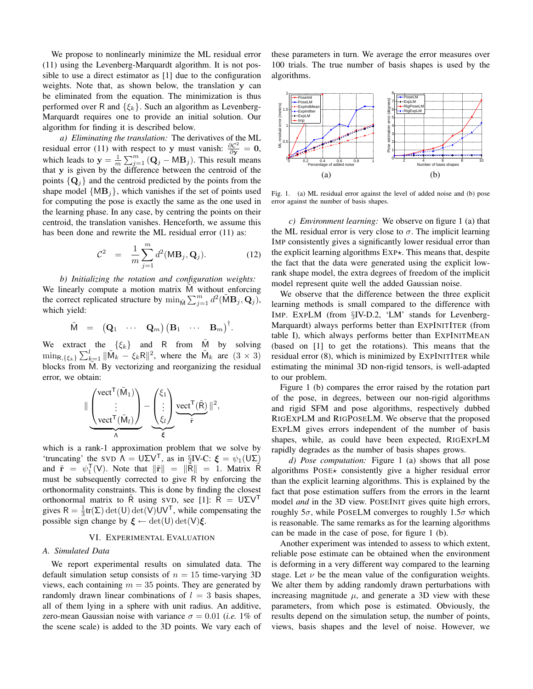We propose to nonlinearly minimize the ML residual error (11) using the Levenberg-Marquardt algorithm. It is not possible to use a direct estimator as [1] due to the configuration weights. Note that, as shown below, the translation y can be eliminated from the equation. The minimization is thus performed over R and  $\{\xi_k\}$ . Such an algorithm as Levenberg-Marquardt requires one to provide an initial solution. Our algorithm for finding it is described below.

*a) Eliminating the translation:* The derivatives of the ML residual error (11) with respect to y must vanish:  $\frac{\partial C^2}{\partial y} = 0$ , which leads to  $y = \frac{1}{m} \sum_{j=1}^{m} (Q_j - MB_j)$ . This result means that y is given by the difference between the centroid of the points  $\{Q_i\}$  and the centroid predicted by the points from the shape model  $\{MB_i\}$ , which vanishes if the set of points used for computing the pose is exactly the same as the one used in the learning phase. In any case, by centring the points on their centroid, the translation vanishes. Henceforth, we assume this has been done and rewrite the ML residual error  $(11)$  as:

$$
\mathcal{C}^2 = \frac{1}{m} \sum_{j=1}^m d^2(\mathbf{MB}_j, \mathbf{Q}_j). \tag{12}
$$

*b) Initializing the rotation and configuration weights:* We linearly compute a motion matrix M without enforcing the correct replicated structure by  $\min_{\tilde{M}} \sum_{j=1}^{m} d^2(\tilde{M} \mathbf{B}_j, \mathbf{Q}_j)$ , which yield:

$$
\tilde{M} = (\mathbf{Q}_1 \cdots \mathbf{Q}_m) (\mathbf{B}_1 \cdots \mathbf{B}_m)^{\dagger}.
$$

We extract the  $\{\xi_k\}$  and R from M by solving  $\min_{\mathsf{R},\{\xi_k\}} \sum_{k=1}^l ||\tilde{\mathsf{M}}_k - \xi_k \mathsf{R}||^2$ , where the  $\tilde{\mathsf{M}}_k$  are  $(3 \times 3)$ blocks from M. By vectorizing and reorganizing the residual error, we obtain:

$$
\| \underbrace{\begin{pmatrix} \text{vect}^{\mathsf{T}}(\tilde{M}_{1}) \\ \vdots \\ \text{vect}^{\mathsf{T}}(\tilde{M}_{l}) \end{pmatrix}}_{\Lambda} - \underbrace{\begin{pmatrix} \xi_{1} \\ \vdots \\ \xi_{l} \end{pmatrix}}_{\xi} \underbrace{\text{vect}^{\mathsf{T}}(\tilde{R})}_{\tilde{\mathbf{r}}} \|^{2},
$$

which is a rank-1 approximation problem that we solve by 'truncating' the SVD  $\Lambda = U\Sigma V^{T}$ , as in §IV-C:  $\xi = \psi_1(U\Sigma)$ and  $\tilde{\mathbf{r}} = \psi_1^{\mathsf{T}}(\mathsf{V})$ . Note that  $\|\tilde{\mathbf{r}}\| = \|\tilde{\mathsf{R}}\| = 1$ . Matrix  $\tilde{\mathsf{R}}$ must be subsequently corrected to give R by enforcing the orthonormality constraints. This is done by finding the closest orthonormal matrix to R using SVD, see [1]: R =  $U\Sigma V^{T}$ gives  $R = \frac{1}{3} \text{tr}(\Sigma) \det(U) \det(V) UV^{\mathsf{T}}$ , while compensating the possible sign change by  $\xi \leftarrow \det(U) \det(V) \xi$ .

#### VI. EXPERIMENTAL EVALUATION

#### *A. Simulated Data*

We report experimental results on simulated data. The default simulation setup consists of  $n = 15$  time-varying 3D views, each containing  $m = 35$  points. They are generated by randomly drawn linear combinations of  $l = 3$  basis shapes, all of them lying in a sphere with unit radius. An additive, zero-mean Gaussian noise with variance  $\sigma = 0.01$  (*i.e.* 1% of the scene scale) is added to the 3D points. We vary each of these parameters in turn. We average the error measures over 100 trials. The true number of basis shapes is used by the algorithms.



Fig. 1. (a) ML residual error against the level of added noise and (b) pose error against the number of basis shapes.

*c) Environment learning:* We observe on figure 1 (a) that the ML residual error is very close to  $\sigma$ . The implicit learning IMP consistently gives a significantly lower residual error than the explicit learning algorithms  $EXP\star$ . This means that, despite the fact that the data were generated using the explicit lowrank shape model, the extra degrees of freedom of the implicit model represent quite well the added Gaussian noise.

We observe that the difference between the three explicit learning methods is small compared to the difference with IMP. EXPLM (from §IV-D.2, 'LM' stands for Levenberg-Marquardt) always performs better than EXPINITITER (from table I), which always performs better than EXPINITMEAN (based on [1] to get the rotations). This means that the residual error (8), which is minimized by EXPINITITER while estimating the minimal 3D non-rigid tensors, is well-adapted to our problem.

Figure 1 (b) compares the error raised by the rotation part of the pose, in degrees, between our non-rigid algorithms and rigid SFM and pose algorithms, respectively dubbed RIGEXPLM and RIGPOSELM. We observe that the proposed EXPLM gives errors independent of the number of basis shapes, while, as could have been expected, RIGEXPLM rapidly degrades as the number of basis shapes grows.

*d) Pose computation:* Figure 1 (a) shows that all pose algorithms  $Poss \leftrightarrow$  consistently give a higher residual error than the explicit learning algorithms. This is explained by the fact that pose estimation suffers from the errors in the learnt model *and* in the 3D view. POSEINIT gives quite high errors, roughly  $5\sigma$ , while POSELM converges to roughly  $1.5\sigma$  which is reasonable. The same remarks as for the learning algorithms can be made in the case of pose, for figure 1 (b).

Another experiment was intended to assess to which extent, reliable pose estimate can be obtained when the environment is deforming in a very different way compared to the learning stage. Let  $\nu$  be the mean value of the configuration weights. We alter them by adding randomly drawn perturbations with increasing magnitude  $\mu$ , and generate a 3D view with these parameters, from which pose is estimated. Obviously, the results depend on the simulation setup, the number of points, views, basis shapes and the level of noise. However, we